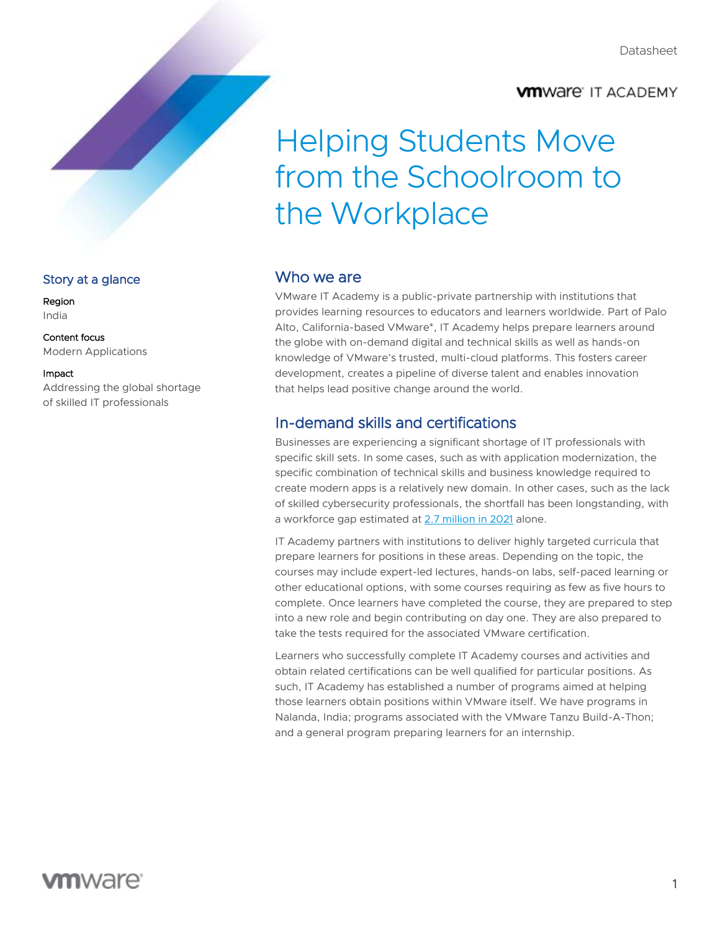## **VM**Ware IT ACADEMY

# Helping Students Move from the Schoolroom to the Workplace

### Story at a glance

Region India

Content focus Modern Applications

### Impact

Addressing the global shortage of skilled IT professionals

### Who we are

VMware IT Academy is a public-private partnership with institutions that provides learning resources to educators and learners worldwide. Part of Palo Alto, California-based VMware®, IT Academy helps prepare learners around the globe with on-demand digital and technical skills as well as hands-on knowledge of VMware's trusted, multi-cloud platforms. This fosters career development, creates a pipeline of diverse talent and enables innovation that helps lead positive change around the world.

# In-demand skills and certifications

Businesses are experiencing a significant shortage of IT professionals with specific skill sets. In some cases, such as with application modernization, the specific combination of technical skills and business knowledge required to create modern apps is a relatively new domain. In other cases, such as the lack of skilled cybersecurity professionals, the shortfall has been longstanding, with a workforce gap estimated at [2.7 million in 2021](https://www.isc2.org/-/media/ISC2/Research/2021/ISC2-Cybersecurity-Workforce-Study-2021.ashx) alone.

IT Academy partners with institutions to deliver highly targeted curricula that prepare learners for positions in these areas. Depending on the topic, the courses may include expert-led lectures, hands-on labs, self-paced learning or other educational options, with some courses requiring as few as five hours to complete. Once learners have completed the course, they are prepared to step into a new role and begin contributing on day one. They are also prepared to take the tests required for the associated VMware certification.

Learners who successfully complete IT Academy courses and activities and obtain related certifications can be well qualified for particular positions. As such, IT Academy has established a number of programs aimed at helping those learners obtain positions within VMware itself. We have programs in Nalanda, India; programs associated with the VMware Tanzu Build-A-Thon; and a general program preparing learners for an internship.

# **vm**ware: